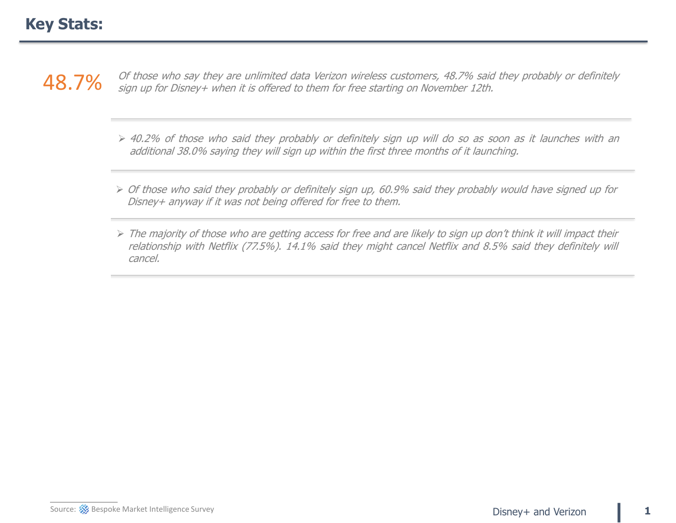48.7% <sup>Of those who say they are unlimited data Verizon wireless customers, 48.7% said they probably or definitely  $\sim$ </sup> sign up for Disney+ when it is offered to them for free starting on November 12th.

- ➢ 40.2% of those who said they probably or definitely sign up will do so as soon as it launches with an additional 38.0% saying they will sign up within the first three months of it launching.
- ➢ Of those who said they probably or definitely sign up, 60.9% said they probably would have signed up for Disney+ anyway if it was not being offered for free to them.
- ➢ The majority of those who are getting access for free and are likely to sign up don't think it will impact their relationship with Netflix (77.5%). 14.1% said they might cancel Netflix and 8.5% said they definitely will cancel.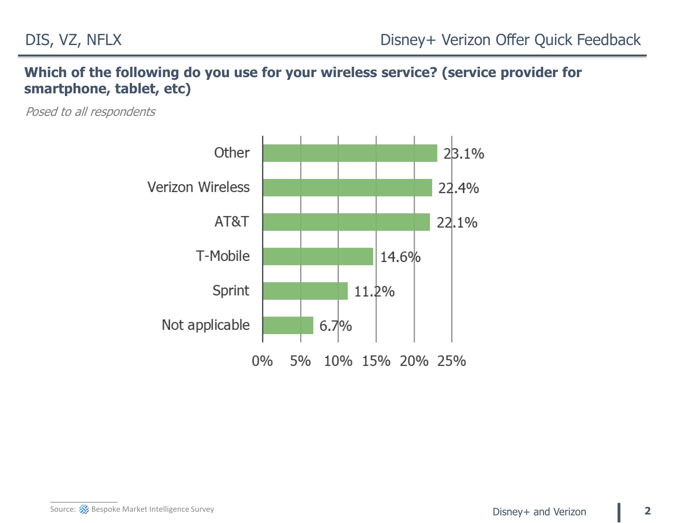# **Which of the following do you use for your wireless service? (service provider for smartphone, tablet, etc)**

Posed to all respondents

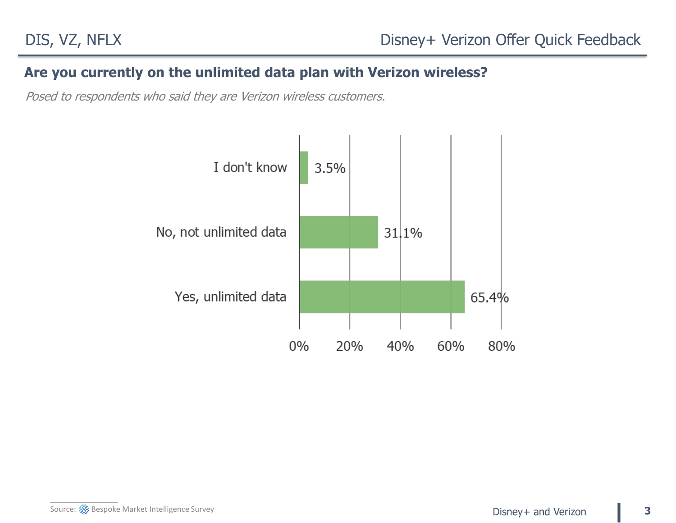## **Are you currently on the unlimited data plan with Verizon wireless?**

Posed to respondents who said they are Verizon wireless customers.

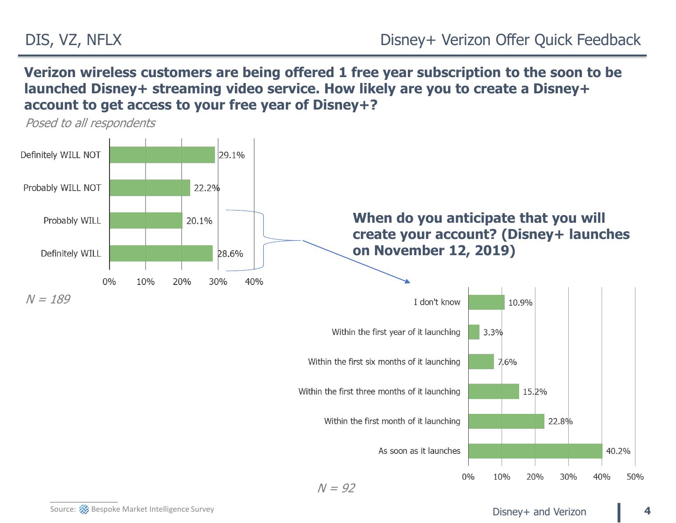**Verizon wireless customers are being offered 1 free year subscription to the soon to be launched Disney+ streaming video service. How likely are you to create a Disney+ account to get access to your free year of Disney+?**



 $N = 92$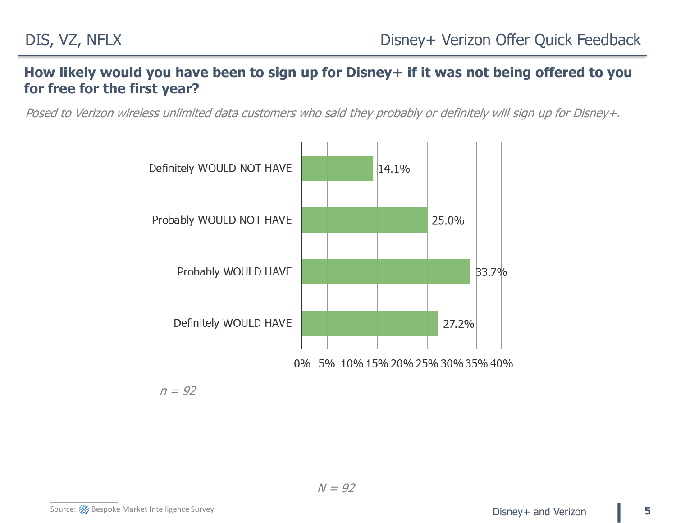### **How likely would you have been to sign up for Disney+ if it was not being offered to you for free for the first year?**

Posed to Verizon wireless unlimited data customers who said they probably or definitely will sign up for Disney+.



 $n = 92$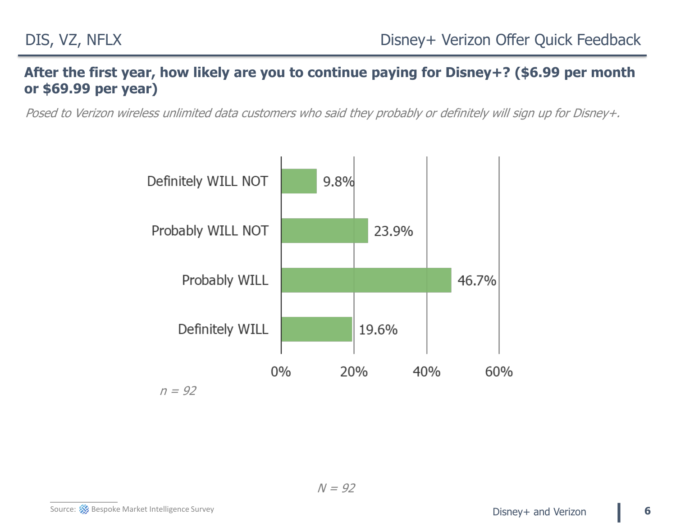### **After the first year, how likely are you to continue paying for Disney+? (\$6.99 per month or \$69.99 per year)**

Posed to Verizon wireless unlimited data customers who said they probably or definitely will sign up for Disney+.



 $N = 92$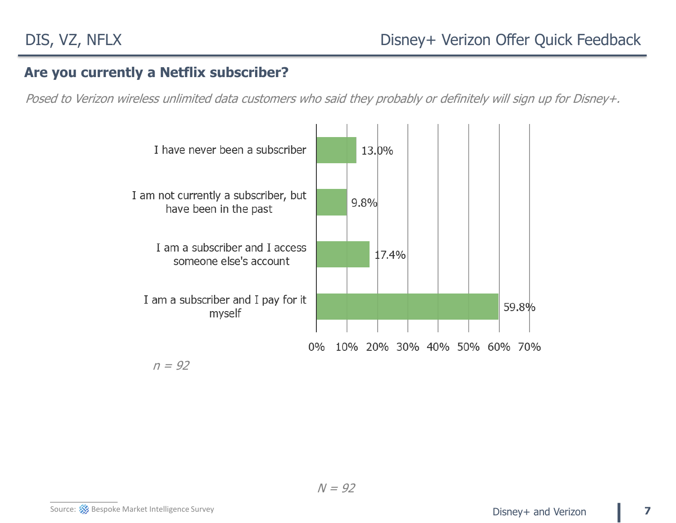### **Are you currently a Netflix subscriber?**

Posed to Verizon wireless unlimited data customers who said they probably or definitely will sign up for Disney+.



 $n = 92$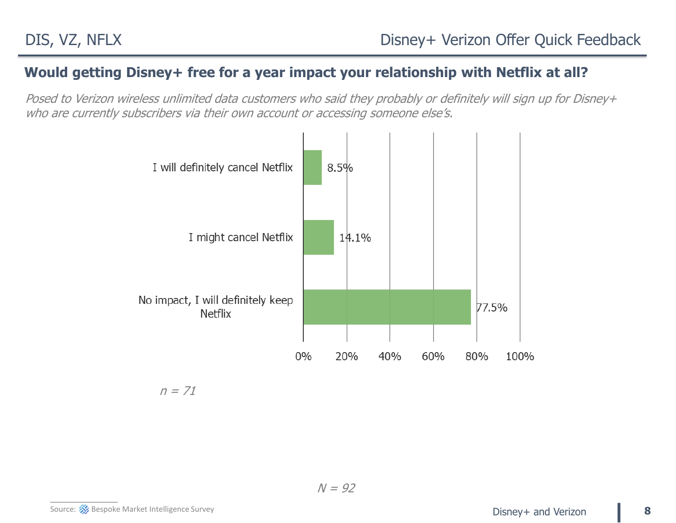### **Would getting Disney+ free for a year impact your relationship with Netflix at all?**

Posed to Verizon wireless unlimited data customers who said they probably or definitely will sign up for Disney+ who are currently subscribers via their own account or accessing someone else's.



 $n = 71$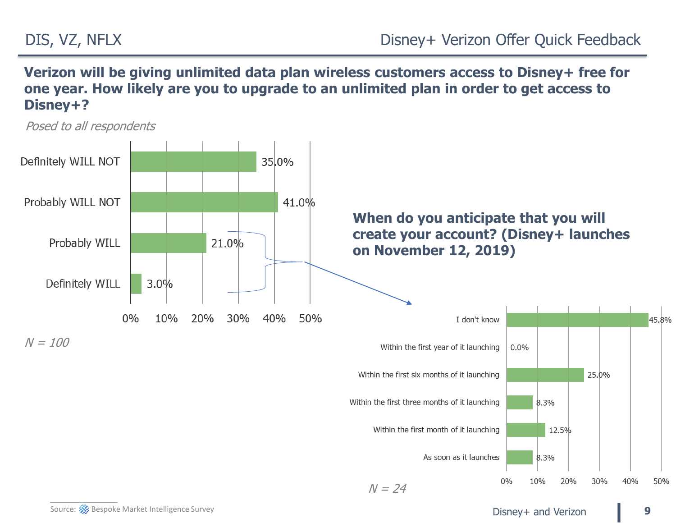**Verizon will be giving unlimited data plan wireless customers access to Disney+ free for one year. How likely are you to upgrade to an unlimited plan in order to get access to Disney+?**

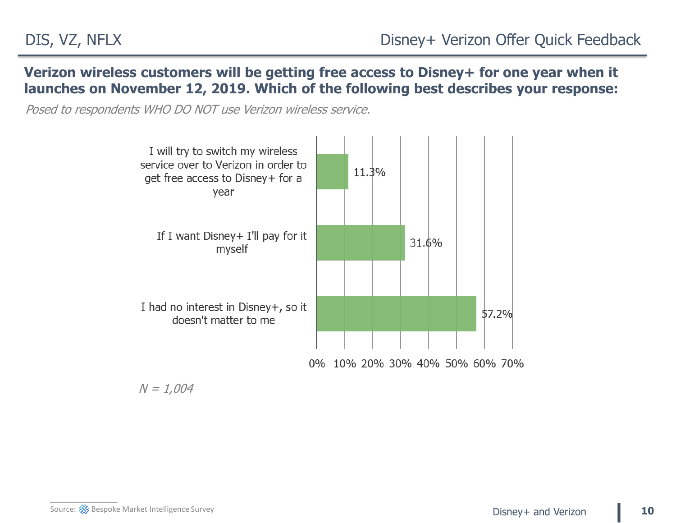**Verizon wireless customers will be getting free access to Disney+ for one year when it launches on November 12, 2019. Which of the following best describes your response:**

Posed to respondents WHO DO NOT use Verizon wireless service.



 $N = 1,004$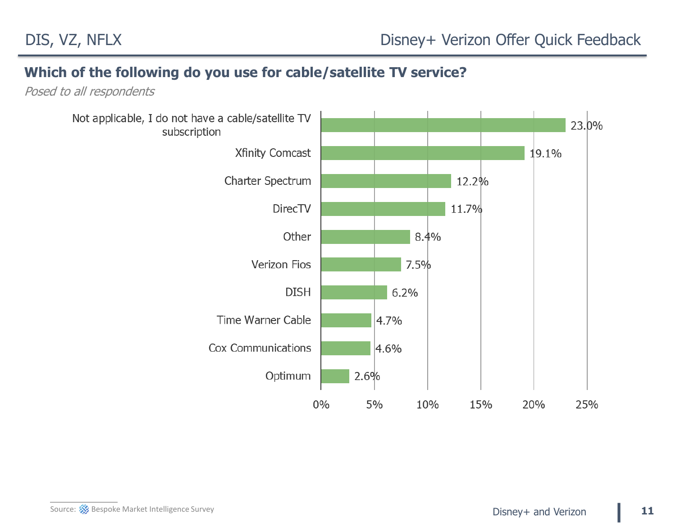#### **Which of the following do you use for cable/satellite TV service?**

Posed to all respondents